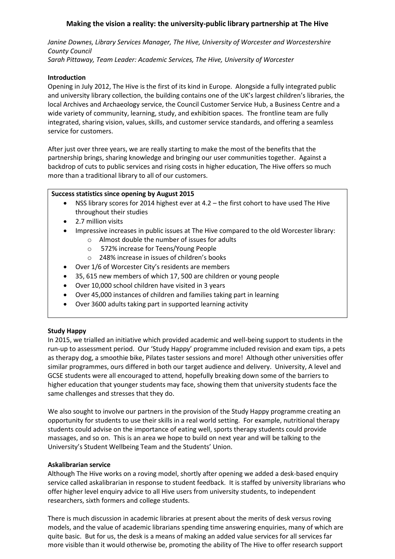# **Making the vision a reality: the university-public library partnership at The Hive**

*Janine Downes, Library Services Manager, The Hive, University of Worcester and Worcestershire County Council Sarah Pittaway, Team Leader: Academic Services, The Hive, University of Worcester*

## **Introduction**

Opening in July 2012, The Hive is the first of its kind in Europe. Alongside a fully integrated public and university library collection, the building contains one of the UK's largest children's libraries, the local Archives and Archaeology service, the Council Customer Service Hub, a Business Centre and a wide variety of community, learning, study, and exhibition spaces. The frontline team are fully integrated, sharing vision, values, skills, and customer service standards, and offering a seamless service for customers.

After just over three years, we are really starting to make the most of the benefits that the partnership brings, sharing knowledge and bringing our user communities together. Against a backdrop of cuts to public services and rising costs in higher education, The Hive offers so much more than a traditional library to all of our customers.

#### **Success statistics since opening by August 2015**

- NSS library scores for 2014 highest ever at 4.2 the first cohort to have used The Hive throughout their studies
- 2.7 million visits
- Impressive increases in public issues at The Hive compared to the old Worcester library:
	- o Almost double the number of issues for adults
	- o 572% increase for Teens/Young People
	- o 248% increase in issues of children's books
- Over 1/6 of Worcester City's residents are members
- 35, 615 new members of which 17, 500 are children or young people
- Over 10,000 school children have visited in 3 years
- Over 45,000 instances of children and families taking part in learning
- Over 3600 adults taking part in supported learning activity

#### **Study Happy**

In 2015, we trialled an initiative which provided academic and well-being support to students in the run-up to assessment period. Our 'Study Happy' programme included revision and exam tips, a pets as therapy dog, a smoothie bike, Pilates taster sessions and more! Although other universities offer similar programmes, ours differed in both our target audience and delivery. University, A level and GCSE students were all encouraged to attend, hopefully breaking down some of the barriers to higher education that younger students may face, showing them that university students face the same challenges and stresses that they do.

We also sought to involve our partners in the provision of the Study Happy programme creating an opportunity for students to use their skills in a real world setting. For example, nutritional therapy students could advise on the importance of eating well, sports therapy students could provide massages, and so on. This is an area we hope to build on next year and will be talking to the University's Student Wellbeing Team and the Students' Union.

#### **Askalibrarian service**

Although The Hive works on a roving model, shortly after opening we added a desk-based enquiry service called askalibrarian in response to student feedback. It is staffed by university librarians who offer higher level enquiry advice to all Hive users from university students, to independent researchers, sixth formers and college students.

There is much discussion in academic libraries at present about the merits of desk versus roving models, and the value of academic librarians spending time answering enquiries, many of which are quite basic. But for us, the desk is a means of making an added value services for all services far more visible than it would otherwise be, promoting the ability of The Hive to offer research support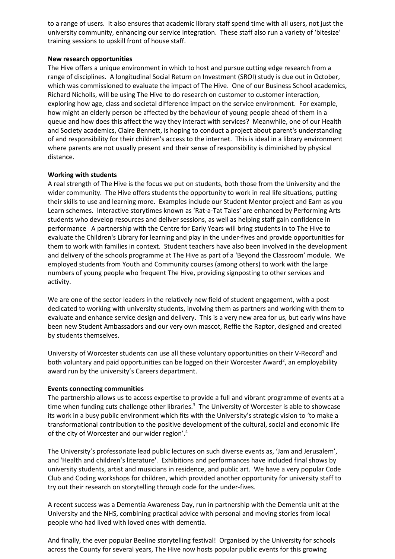to a range of users. It also ensures that academic library staff spend time with all users, not just the university community, enhancing our service integration. These staff also run a variety of 'bitesize' training sessions to upskill front of house staff.

#### **New research opportunities**

The Hive offers a unique environment in which to host and pursue cutting edge research from a range of disciplines. A longitudinal Social Return on Investment (SROI) study is due out in October, which was commissioned to evaluate the impact of The Hive. One of our Business School academics, Richard Nicholls, will be using The Hive to do research on customer to customer interaction, exploring how age, class and societal difference impact on the service environment. For example, how might an elderly person be affected by the behaviour of young people ahead of them in a queue and how does this affect the way they interact with services? Meanwhile, one of our Health and Society academics, Claire Bennett, is hoping to conduct a project about parent's understanding of and responsibility for their children's access to the internet. This is ideal in a library environment where parents are not usually present and their sense of responsibility is diminished by physical distance.

#### **Working with students**

A real strength of The Hive is the focus we put on students, both those from the University and the wider community. The Hive offers students the opportunity to work in real life situations, putting their skills to use and learning more. Examples include our Student Mentor project and Earn as you Learn schemes. Interactive storytimes known as 'Rat-a-Tat Tales' are enhanced by Performing Arts students who develop resources and deliver sessions, as well as helping staff gain confidence in performance A partnership with the Centre for Early Years will bring students in to The Hive to evaluate the Children's Library for learning and play in the under-fives and provide opportunities for them to work with families in context. Student teachers have also been involved in the development and delivery of the schools programme at The Hive as part of a 'Beyond the Classroom' module. We employed students from Youth and Community courses (among others) to work with the large numbers of young people who frequent The Hive, providing signposting to other services and activity.

We are one of the sector leaders in the relatively new field of student engagement, with a post dedicated to working with university students, involving them as partners and working with them to evaluate and enhance service design and delivery. This is a very new area for us, but early wins have been new Student Ambassadors and our very own mascot, Reffie the Raptor, designed and created by students themselves.

University of Worcester students can use all these voluntary opportunities on their V-Record<sup>1</sup> and both voluntary and paid opportunities can be logged on their Worcester Award<sup>2</sup>, an employability award run by the university's Careers department.

#### **Events connecting communities**

The partnership allows us to access expertise to provide a full and vibrant programme of events at a time when funding cuts challenge other libraries.<sup>3</sup> The University of Worcester is able to showcase its work in a busy public environment which fits with the University's strategic vision to 'to make a transformational contribution to the positive development of the cultural, social and economic life of the city of Worcester and our wider region'.<sup>4</sup>

The University's professoriate lead public lectures on such diverse events as, 'Jam and Jerusalem', and 'Health and children's literature'. Exhibitions and performances have included final shows by university students, artist and musicians in residence, and public art. We have a very popular Code Club and Coding workshops for children, which provided another opportunity for university staff to try out their research on storytelling through code for the under-fives.

A recent success was a Dementia Awareness Day, run in partnership with the Dementia unit at the University and the NHS, combining practical advice with personal and moving stories from local people who had lived with loved ones with dementia.

And finally, the ever popular Beeline storytelling festival! Organised by the University for schools across the County for several years, The Hive now hosts popular public events for this growing